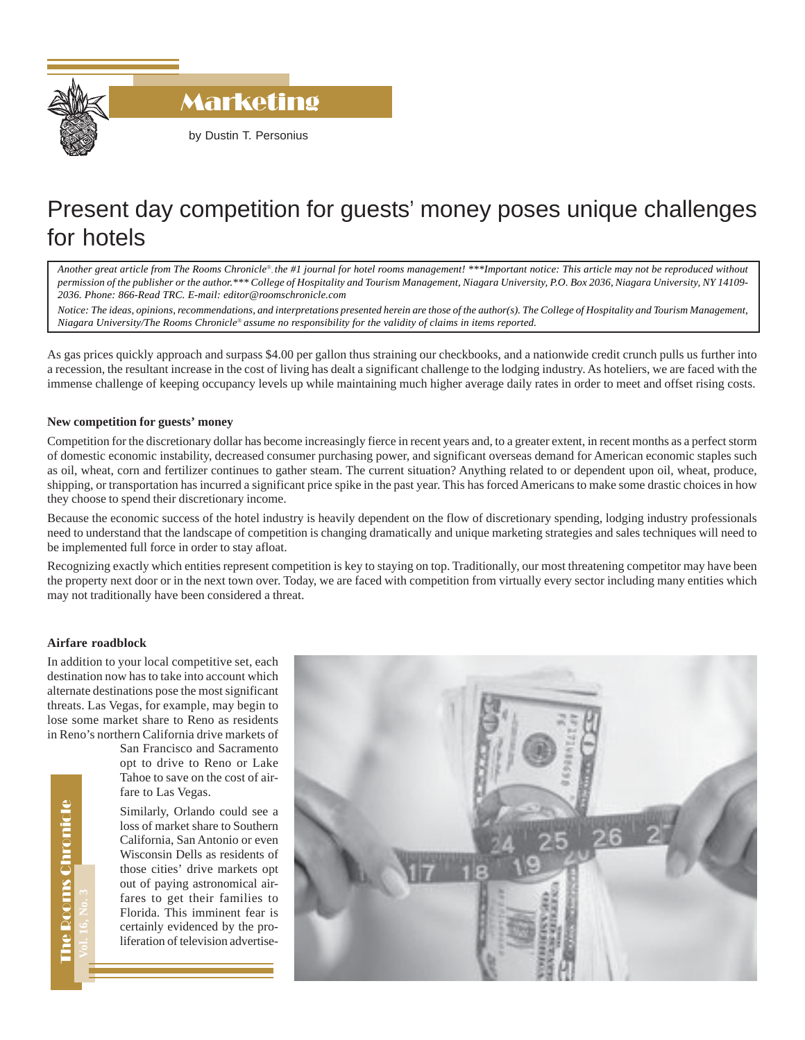

Marketing

by Dustin T. Personius

# Present day competition for guests' money poses unique challenges for hotels

*Another great article from The Rooms Chronicle*®*, the #1 journal for hotel rooms management! \*\*\*Important notice: This article may not be reproduced without permission of the publisher or the author.\*\*\* College of Hospitality and Tourism Management, Niagara University, P.O. Box 2036, Niagara University, NY 14109- 2036. Phone: 866-Read TRC. E-mail: editor@roomschronicle.com*

*Notice: The ideas, opinions, recommendations, and interpretations presented herein are those of the author(s). The College of Hospitality and Tourism Management, Niagara University/The Rooms Chronicle*® *assume no responsibility for the validity of claims in items reported.*

As gas prices quickly approach and surpass \$4.00 per gallon thus straining our checkbooks, and a nationwide credit crunch pulls us further into a recession, the resultant increase in the cost of living has dealt a significant challenge to the lodging industry. As hoteliers, we are faced with the immense challenge of keeping occupancy levels up while maintaining much higher average daily rates in order to meet and offset rising costs.

#### **New competition for guests' money**

Competition for the discretionary dollar has become increasingly fierce in recent years and, to a greater extent, in recent months as a perfect storm of domestic economic instability, decreased consumer purchasing power, and significant overseas demand for American economic staples such as oil, wheat, corn and fertilizer continues to gather steam. The current situation? Anything related to or dependent upon oil, wheat, produce, shipping, or transportation has incurred a significant price spike in the past year. This has forced Americans to make some drastic choices in how they choose to spend their discretionary income.

Because the economic success of the hotel industry is heavily dependent on the flow of discretionary spending, lodging industry professionals need to understand that the landscape of competition is changing dramatically and unique marketing strategies and sales techniques will need to be implemented full force in order to stay afloat.

Recognizing exactly which entities represent competition is key to staying on top. Traditionally, our most threatening competitor may have been the property next door or in the next town over. Today, we are faced with competition from virtually every sector including many entities which may not traditionally have been considered a threat.

## **Airfare roadblock**

In addition to your local competitive set, each destination now has to take into account which alternate destinations pose the most significant threats. Las Vegas, for example, may begin to lose some market share to Reno as residents in Reno's northern California drive markets of

San Francisco and Sacramento opt to drive to Reno or Lake Tahoe to save on the cost of airfare to Las Vegas.

Similarly, Orlando could see a loss of market share to Southern California, San Antonio or even Wisconsin Dells as residents of those cities' drive markets opt out of paying astronomical airfares to get their families to Florida. This imminent fear is certainly evidenced by the proliferation of television advertise-



he Rooms Chronicle The Rooms Chronicle